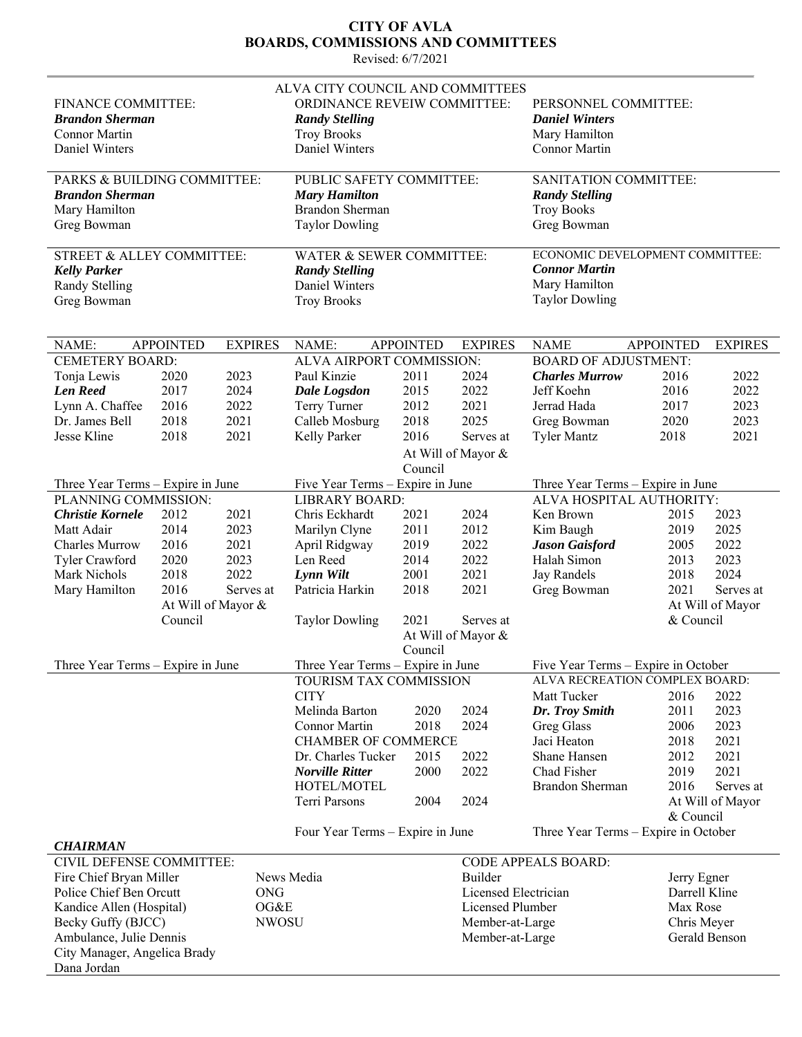## **CITY OF AVLA BOARDS, COMMISSIONS AND COMMITTEES**

Revised: 6/7/2021

| FINANCE COMMITTEE:<br><b>Brandon Sherman</b><br>Connor Martin<br>Daniel Winters                     |      |                 | ALVA CITY COUNCIL AND COMMITTEES<br>ORDINANCE REVEIW COMMITTEE:<br><b>Randy Stelling</b><br><b>Troy Brooks</b><br>Daniel Winters<br>PUBLIC SAFETY COMMITTEE: |      |                      | PERSONNEL COMMITTEE:<br><b>Daniel Winters</b><br>Mary Hamilton<br>Connor Martin                   |                  |                  |  |
|-----------------------------------------------------------------------------------------------------|------|-----------------|--------------------------------------------------------------------------------------------------------------------------------------------------------------|------|----------------------|---------------------------------------------------------------------------------------------------|------------------|------------------|--|
| PARKS & BUILDING COMMITTEE:<br><b>Brandon Sherman</b><br>Mary Hamilton                              |      |                 | <b>Mary Hamilton</b><br><b>Brandon Sherman</b>                                                                                                               |      |                      | SANITATION COMMITTEE:<br><b>Randy Stelling</b><br><b>Troy Books</b>                               |                  |                  |  |
| Greg Bowman                                                                                         |      |                 | <b>Taylor Dowling</b>                                                                                                                                        |      |                      | Greg Bowman                                                                                       |                  |                  |  |
| STREET & ALLEY COMMITTEE:<br><b>Kelly Parker</b><br><b>Randy Stelling</b><br>Greg Bowman            |      |                 | WATER & SEWER COMMITTEE:<br><b>Randy Stelling</b><br>Daniel Winters<br><b>Troy Brooks</b>                                                                    |      |                      | ECONOMIC DEVELOPMENT COMMITTEE:<br><b>Connor Martin</b><br>Mary Hamilton<br><b>Taylor Dowling</b> |                  |                  |  |
| <b>APPOINTED</b><br>NAME:                                                                           |      | <b>EXPIRES</b>  | <b>EXPIRES</b><br>NAME:<br><b>APPOINTED</b>                                                                                                                  |      |                      | <b>NAME</b>                                                                                       | <b>APPOINTED</b> | <b>EXPIRES</b>   |  |
| <b>CEMETERY BOARD:</b>                                                                              |      |                 | ALVA AIRPORT COMMISSION:                                                                                                                                     |      |                      | <b>BOARD OF ADJUSTMENT:</b>                                                                       |                  |                  |  |
| Tonja Lewis                                                                                         | 2020 | 2023            | Paul Kinzie                                                                                                                                                  | 2011 | 2024                 | <b>Charles Murrow</b>                                                                             | 2016             | 2022             |  |
| <b>Len Reed</b>                                                                                     | 2017 | 2024            | <b>Dale Logsdon</b>                                                                                                                                          | 2015 | 2022                 | Jeff Koehn                                                                                        | 2016             | 2022             |  |
| Lynn A. Chaffee                                                                                     | 2016 | 2022            | Terry Turner                                                                                                                                                 | 2012 | 2021                 | Jerrad Hada                                                                                       | 2017             | 2023             |  |
| Dr. James Bell                                                                                      | 2018 | 2021            | Calleb Mosburg                                                                                                                                               | 2018 | 2025                 | Greg Bowman                                                                                       | 2020             | 2023             |  |
| Jesse Kline                                                                                         | 2018 | 2021            | Kelly Parker                                                                                                                                                 | 2016 | Serves at            | <b>Tyler Mantz</b>                                                                                | 2018             | 2021             |  |
|                                                                                                     |      |                 |                                                                                                                                                              |      | At Will of Mayor &   |                                                                                                   |                  |                  |  |
| Council                                                                                             |      |                 |                                                                                                                                                              |      |                      |                                                                                                   |                  |                  |  |
| Three Year Terms – Expire in June                                                                   |      |                 | Five Year Terms - Expire in June                                                                                                                             |      |                      | Three Year Terms – Expire in June                                                                 |                  |                  |  |
| PLANNING COMMISSION:                                                                                |      |                 | <b>LIBRARY BOARD:</b>                                                                                                                                        |      |                      | ALVA HOSPITAL AUTHORITY:                                                                          |                  |                  |  |
| <b>Christie Kornele</b>                                                                             | 2012 | 2021            | Chris Eckhardt                                                                                                                                               | 2021 | 2024                 | Ken Brown                                                                                         | 2015             | 2023             |  |
| Matt Adair                                                                                          | 2014 | 2023            | Marilyn Clyne                                                                                                                                                | 2011 | 2012                 | Kim Baugh                                                                                         | 2019             | 2025             |  |
| Charles Murrow                                                                                      | 2016 | 2021            | April Ridgway                                                                                                                                                | 2019 | 2022                 | <b>Jason Gaisford</b>                                                                             | 2005             | 2022             |  |
| Tyler Crawford                                                                                      | 2020 | 2023            | Len Reed                                                                                                                                                     | 2014 | 2022                 | Halah Simon                                                                                       | 2013             | 2023             |  |
| Mark Nichols                                                                                        | 2018 | 2022            | Lynn Wilt                                                                                                                                                    | 2001 | 2021                 | Jay Randels                                                                                       | 2018             | 2024             |  |
| Mary Hamilton<br>2016<br>Serves at<br>At Will of Mayor &                                            |      | Patricia Harkin | 2018                                                                                                                                                         | 2021 | Greg Bowman          | 2021                                                                                              | Serves at        |                  |  |
|                                                                                                     |      |                 |                                                                                                                                                              |      |                      |                                                                                                   |                  | At Will of Mayor |  |
| & Council<br>Council<br><b>Taylor Dowling</b><br>2021<br>Serves at<br>At Will of Mayor &<br>Council |      |                 |                                                                                                                                                              |      |                      |                                                                                                   |                  |                  |  |
| Three Year Terms – Expire in June                                                                   |      |                 | Three Year Terms - Expire in June                                                                                                                            |      |                      | Five Year Terms – Expire in October                                                               |                  |                  |  |
|                                                                                                     |      |                 | TOURISM TAX COMMISSION                                                                                                                                       |      |                      | ALVA RECREATION COMPLEX BOARD:                                                                    |                  |                  |  |
|                                                                                                     |      |                 | <b>CITY</b>                                                                                                                                                  |      |                      | Matt Tucker                                                                                       | 2016             | 2022             |  |
|                                                                                                     |      |                 | Melinda Barton                                                                                                                                               | 2020 | 2024                 | Dr. Troy Smith                                                                                    | 2011             | 2023             |  |
|                                                                                                     |      |                 | Connor Martin                                                                                                                                                | 2018 | 2024                 | Greg Glass                                                                                        | 2006             | 2023             |  |
|                                                                                                     |      |                 | <b>CHAMBER OF COMMERCE</b>                                                                                                                                   |      |                      | Jaci Heaton                                                                                       | 2018             | 2021             |  |
|                                                                                                     |      |                 | Dr. Charles Tucker                                                                                                                                           | 2015 | 2022                 | Shane Hansen                                                                                      | 2012             | 2021             |  |
|                                                                                                     |      |                 | <b>Norville Ritter</b>                                                                                                                                       | 2000 | 2022                 | Chad Fisher                                                                                       | 2019             | 2021             |  |
|                                                                                                     |      |                 | HOTEL/MOTEL<br>Terri Parsons                                                                                                                                 | 2004 | 2024                 | <b>Brandon Sherman</b>                                                                            | 2016             | Serves at        |  |
|                                                                                                     |      |                 |                                                                                                                                                              |      |                      |                                                                                                   |                  | At Will of Mayor |  |
|                                                                                                     |      |                 |                                                                                                                                                              |      |                      | Three Year Terms - Expire in October                                                              | & Council        |                  |  |
| <b>CHAIRMAN</b>                                                                                     |      |                 | Four Year Terms - Expire in June                                                                                                                             |      |                      |                                                                                                   |                  |                  |  |
| <b>CODE APPEALS BOARD:</b><br>CIVIL DEFENSE COMMITTEE:                                              |      |                 |                                                                                                                                                              |      |                      |                                                                                                   |                  |                  |  |
| News Media<br>Fire Chief Bryan Miller                                                               |      |                 | Builder                                                                                                                                                      |      |                      | Jerry Egner                                                                                       |                  |                  |  |
| Police Chief Ben Orcutt                                                                             |      | ONG             |                                                                                                                                                              |      | Licensed Electrician |                                                                                                   |                  | Darrell Kline    |  |
| Kandice Allen (Hospital)                                                                            |      | OG&E            |                                                                                                                                                              |      | Licensed Plumber     |                                                                                                   |                  | Max Rose         |  |
| Becky Guffy (BJCC)                                                                                  |      | <b>NWOSU</b>    |                                                                                                                                                              |      | Member-at-Large      |                                                                                                   |                  | Chris Meyer      |  |
| Ambulance, Julie Dennis                                                                             |      |                 |                                                                                                                                                              |      |                      | Member-at-Large<br>Gerald Benson                                                                  |                  |                  |  |
| City Manager, Angelica Brady                                                                        |      |                 |                                                                                                                                                              |      |                      |                                                                                                   |                  |                  |  |
| Dana Jordan                                                                                         |      |                 |                                                                                                                                                              |      |                      |                                                                                                   |                  |                  |  |
|                                                                                                     |      |                 |                                                                                                                                                              |      |                      |                                                                                                   |                  |                  |  |

l,